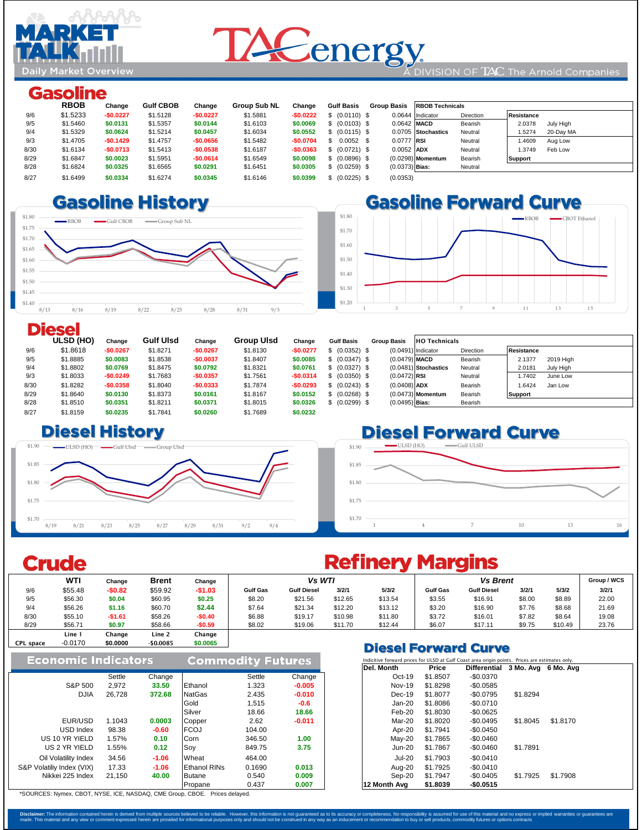

## DIVISION OF TAC The Arnold Companies

# **Gasoline**

**Daily Market Overview** 

<u>re</u> obborba

|      | <b>RBOB</b> | Change     | <b>Gulf CBOB</b> | Change     | <b>Group Sub NL</b> | Change     | <b>Gulf Basis</b> | <b>Group Basis</b> | <b>RBOB Technicals</b> |           |                     |  |
|------|-------------|------------|------------------|------------|---------------------|------------|-------------------|--------------------|------------------------|-----------|---------------------|--|
| 9/6  | \$1.5233    | $-$0.0227$ | \$1.5128         | $-$0.0227$ | \$1.5881            | $-$0.0222$ | \$ (0.0110) \$    |                    | 0.0644 Indicator       | Direction | Resistance          |  |
| 9/5  | \$1.5460    | \$0.0131   | \$1.5357         | \$0.0144   | \$1.6103            | \$0.0069   | \$ (0.0103) \$    |                    | $0.0642$ MACD          | Bearish   | 2.0378<br>July High |  |
| 9/4  | \$1.5329    | \$0.0624   | \$1.5214         | \$0.0457   | \$1.6034            | \$0.0552   | \$ (0.0115) \$    |                    | 0.0705 Stochastics     | Neutral   | 1.5274<br>20-Day MA |  |
| 9/3  | \$1.4705    | $-$0.1429$ | \$1.4757         | $-$0.0656$ | \$1.5482            | $-$0.0704$ | $0.0052$ \$       | $0.0777$ RSI       |                        | Neutral   | 1.4609<br>Aug Low   |  |
| 8/30 | \$1.6134    | $-$0.0713$ | \$1.5413         | $-$0.0538$ | \$1.6187            | $-$0.0363$ | \$ (0.0721) \$    | $0.0052$ ADX       |                        | Neutral   | 1.3749<br>Feb Low   |  |
| 8/29 | \$1.6847    | \$0.0023   | \$1.5951         | $-$0.0614$ | \$1.6549            | \$0.0098   | \$ (0.0896) \$    |                    | $(0.0298)$ Momentum    | Bearish   | Support             |  |
| 8/28 | \$1.6824    | \$0.0325   | \$1.6565         | \$0.0291   | \$1.6451            | \$0.0305   | \$ (0.0259) \$    | $(0.0373)$ Bias:   |                        | Neutral   |                     |  |
| 8/27 | \$1.6499    | \$0.0334   | \$1.6274         | \$0.0345   | \$1.6146            | \$0.0399   | $(0.0225)$ \$     | (0.0353)           |                        |           |                     |  |
|      |             |            |                  |            |                     |            |                   |                    |                        |           |                     |  |

#### 8/23 \$1.6428 **-\$0.0247 \$1.61 -\$0.0287** \$1.6018 **-\$0.0255 8.667 & 0.026 & 0.026 & 0.026 & 0.026 & 0.026 & 0.027**

|      | ULSD (HO) | Change     | <b>Gulf Ulsd</b> | Change     | <b>Group UIsd</b> | Change     | <b>Gulf Basis</b> | <b>Group Basis</b> | <b>HO</b> Technicals   |           |                |           |
|------|-----------|------------|------------------|------------|-------------------|------------|-------------------|--------------------|------------------------|-----------|----------------|-----------|
| 9/6  | \$1.8618  | $-$0.0267$ | \$1.8271         | $-$0.0267$ | \$1.8130          | $-$0.0277$ | \$ (0.0352) \$    |                    | $(0.0491)$ Indicator   | Direction | Resistance     |           |
| 9/5  | \$1.8885  | \$0.0083   | \$1.8538         | $-$0.0037$ | \$1.8407          | \$0.0085   | \$ (0.0347) \$    | $(0.0479)$ MACD    |                        | Bearish   | 2.1377         | 2019 High |
| 9/4  | \$1.8802  | \$0.0769   | \$1.8475         | \$0.0792   | \$1.8321          | \$0.0761   | \$ (0.0327) \$    |                    | $(0.0481)$ Stochastics | Neutral   | 2.0181         | July High |
| 9/3  | \$1.8033  | $-$0.0249$ | \$1.7683         | $-$0.0357$ | \$1.7561          | $-$0.0314$ | \$ (0.0350) \$    | $(0.0472)$ RSI     |                        | Neutral   | .7402          | June Low  |
| 8/30 | \$1.8282  | $-$0.0358$ | \$1.8040         | $-$0.0333$ | \$1.7874          | $-$0.0293$ | \$ (0.0243) \$    | $(0.0408)$ ADX     |                        | Bearish   | .6424          | Jan Low   |
| 8/29 | \$1.8640  | \$0.0130   | \$1.8373         | \$0.0161   | \$1.8167          | \$0.0152   | \$ (0.0268) \$    |                    | $(0.0473)$ Momentum    | Bearish   | <b>Support</b> |           |
| 8/28 | \$1.8510  | \$0.0351   | \$1.8211         | \$0.0371   | \$1.8015          | \$0.0326   | \$ (0.0299) \$    | $(0.0495)$ Bias:   |                        | Bearish   |                |           |
| 8/27 | \$1.8159  | \$0.0235   | \$1.7841         | \$0.0260   | \$1.7689          | \$0.0232   |                   |                    |                        |           |                |           |

## $\square$  **Diesel History**



## **Gasoline Forward Curve** \$1.80 -RBOB 
<del>-</del>CBOT Ethanol \$1.70 \$1.60 \$1.50 \$1.40 \$1.30 \$1.20 1 3 5 7 9 11 13 15

## **Diesel**

Indicitive forward prices for ULSD at Gulf Coast area origin points. Prices are estimates only.



|                  | <b>WTI</b> | Change   | <b>Brent</b> | Change   | Vs WTI                            |                    |         |         | <b>Vs Brent</b> |                    |        |         | Group / WCS |
|------------------|------------|----------|--------------|----------|-----------------------------------|--------------------|---------|---------|-----------------|--------------------|--------|---------|-------------|
| 9/6              | \$55.48    | $-$0.82$ | \$59.92      | $-$1.03$ | <b>Gulf Gas</b>                   | <b>Gulf Diesel</b> | 3/2/1   | 5/3/2   | <b>Gulf Gas</b> | <b>Gulf Diesel</b> | 3/2/1  | 5/3/2   | 3/2/1       |
| 9/5              | \$56.30    | \$0.04   | \$60.95      | \$0.25   | \$8.20                            | \$21.56            | \$12.65 | \$13.54 | \$3.55          | \$16.91            | \$8.00 | \$8.89  | 22.00       |
| 9/4              | \$56.26    | \$1.16   | \$60.70      | \$2.44   | \$7.64                            | \$21.34            | \$12.20 | \$13.12 | \$3.20          | \$16.90            | \$7.76 | \$8.68  | 21.69       |
| 8/30             | \$55.10    | $-$1.61$ | \$58.26      | $-$0.40$ | \$6.88                            | \$19.17            | \$10.98 | \$11.80 | \$3.72          | \$16.01            | \$7.82 | \$8.64  | 19.08       |
| 8/29             | \$56.71    | \$0.97   | \$58.66      | $-$0.59$ | \$8.02                            | \$19.06            | \$11.70 | \$12.44 | \$6.07          | \$17.11            | \$9.75 | \$10.49 | 23.76       |
|                  | Line 1     | Change   | Line 2       | Change   |                                   |                    |         |         |                 |                    |        |         |             |
| <b>CPL space</b> | $-0.0170$  | \$0.0000 | $-$0.0085$   | \$0.0065 | <b>Bissel Feuture und Arturea</b> |                    |         |         |                 |                    |        |         |             |

|  |  |  | \$1.70                                     |  |
|--|--|--|--------------------------------------------|--|
|  |  |  | 8/19 8/21 8/23 8/25 8/27 8/29 8/31 9/2 9/4 |  |

# **Crude**

|        |         |                     |        |          | Del. Month    | <b>Price</b> | Differential 3 Mo. Avg 6 Mo. Avg |          |          |
|--------|---------|---------------------|--------|----------|---------------|--------------|----------------------------------|----------|----------|
| Settle | Change  |                     | Settle | Change   | Oct-19        | \$1.8507     | $-$0.0370$                       |          |          |
| 2,972  | 33.50   | Ethanol             | .323   | $-0.005$ | <b>Nov-19</b> | \$1.8298     | $-$0.0585$                       |          |          |
| 26,728 | 372.68  | <b>NatGas</b>       | 2.435  | $-0.010$ | $Dec-19$      | \$1.8077     | $-$0.0795$                       | \$1.8294 |          |
|        |         | Gold                | 1,515  | $-0.6$   | $Jan-20$      | \$1.8086     | $-$0.0710$                       |          |          |
|        |         | Silver              | 18.66  | 18.66    | Feb-20        | \$1.8030     | $-$0.0625$                       |          |          |
| 1.1043 | 0.0003  | Copper              | 2.62   | $-0.011$ | Mar-20        | \$1.8020     | $-$0.0495$                       | \$1.8045 | \$1.8170 |
| 98.38  | $-0.60$ | <b>FCOJ</b>         | 104.00 |          | Apr-20        | \$1.7941     | $-$0.0450$                       |          |          |
| 1.57%  | 0.10    | Corn                | 346.50 | 1.00     | $May-20$      | \$1.7865     | $-$0.0460$                       |          |          |
| 1.55%  | 0.12    | Soy                 | 849.75 | 3.75     | $Jun-20$      | \$1.7867     | $-$0.0460$                       | \$1.7891 |          |
| 34.56  | $-1.06$ | Wheat               | 464.00 |          | <b>Jul-20</b> | \$1.7903     | $-$0.0410$                       |          |          |
| 17.33  | $-1.06$ | <b>Ethanol RINs</b> | 0.1690 | 0.013    | Aug-20        | \$1.7925     | $-$0.0410$                       |          |          |
| 21,150 | 40.00   | <b>Butane</b>       | 0.540  | 0.009    | Sep-20        | \$1.7947     | $-$0.0405$                       | \$1.7925 | \$1.7908 |
|        |         | Propane             | 0.437  | 0.007    | 12 Month Avg  | \$1.8039     | $-$0.0515$                       |          |          |

| Economic Indicators |        |        |               | <b>Commodity Futures</b> |          | Indicitive forward prices for ULSD at Gulf Coast area origin points. Prices are |              |                     |           |  |
|---------------------|--------|--------|---------------|--------------------------|----------|---------------------------------------------------------------------------------|--------------|---------------------|-----------|--|
|                     |        |        |               |                          |          | Del. Month                                                                      | <b>Price</b> | <b>Differential</b> | 3 Mo. Avo |  |
|                     | Settle | Change |               | <b>Settle</b>            | Change   | Oct-19                                                                          | \$1.8507     | $-$0.0370$          |           |  |
| <b>S&amp;P 500</b>  | 2,972  | 33.50  | Ethanol       | .323                     | $-0.005$ | <b>Nov-19</b>                                                                   | \$1.8298     | $-$0.0585$          |           |  |
| <b>DJIA</b>         | 26,728 | 372.68 | <b>NatGas</b> | 2.435                    | $-0.010$ | $Dec-19$                                                                        | \$1.8077     | $-$0.0795$          | \$1.8294  |  |
|                     |        |        | Gold          | 1,515                    | $-0.6$   | $Jan-20$                                                                        | \$1.8086     | $-$0.0710$          |           |  |
|                     |        |        | Silver        | 18.66                    | 18.66    | $Feb-20$                                                                        | \$1.8030     | -\$0.0625           |           |  |

## **Diesel Forward Curve**

\*SOURCES: Nymex, CBOT, NYSE, ICE, NASDAQ, CME Group, CBOE. Prices delayed.

Disclaimer: The information contained herein is derived from multiple sources believed to be reliable. However, this information is not guaranteed as to its accuracy or completeness. No responsibility is assumed for use of made. This material and any view or comment expressed herein are provided for informational purposes only and should not be construed in any way as an inducement or recommendation to buy or sell products, commodity futures

EUR/USD

Nikkei 225 Index

USD Index

 US 10 YR YIELD US 2 YR YIELD Oil Volatility Index

## **Refinery Margins**

S&P Volatiliy Index (VIX)

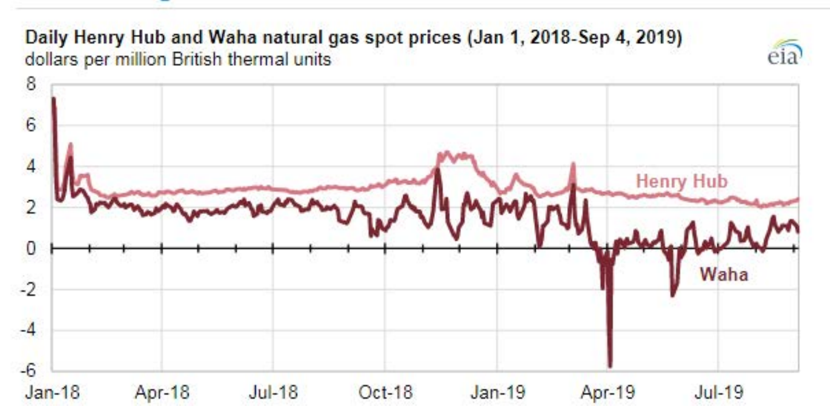#### Daily Henry Hub and Waha natural gas spot prices (Jan 1, 2018-Sep 4, 2019) dollars per million British thermal units



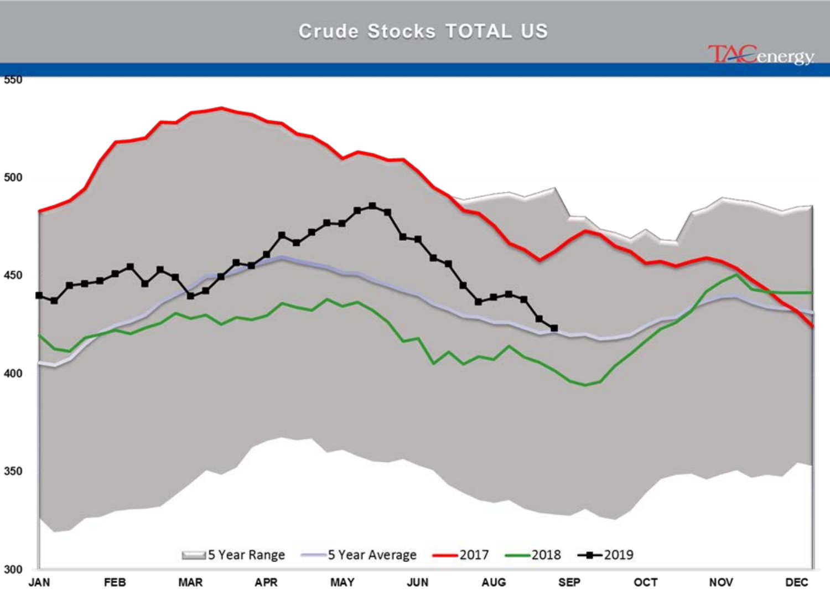### **Crude Stocks TOTAL US**

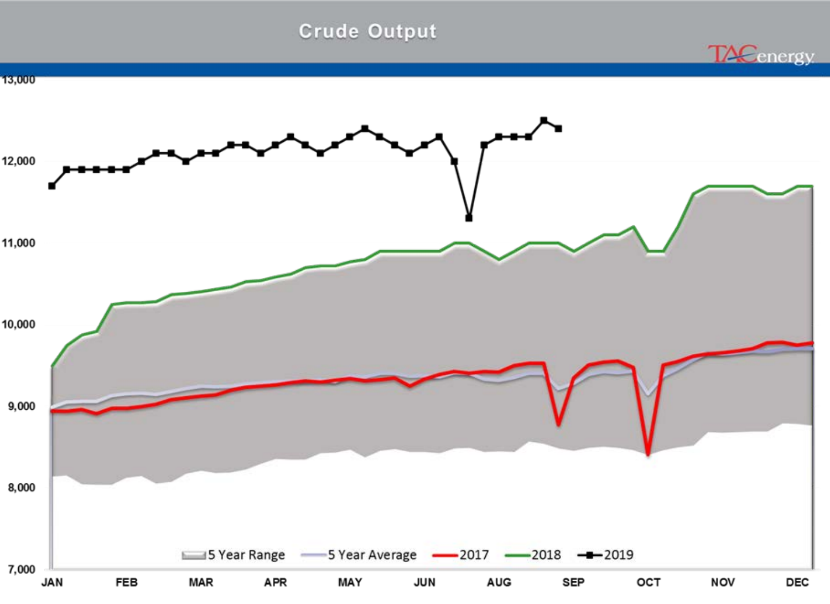## **Crude Output**

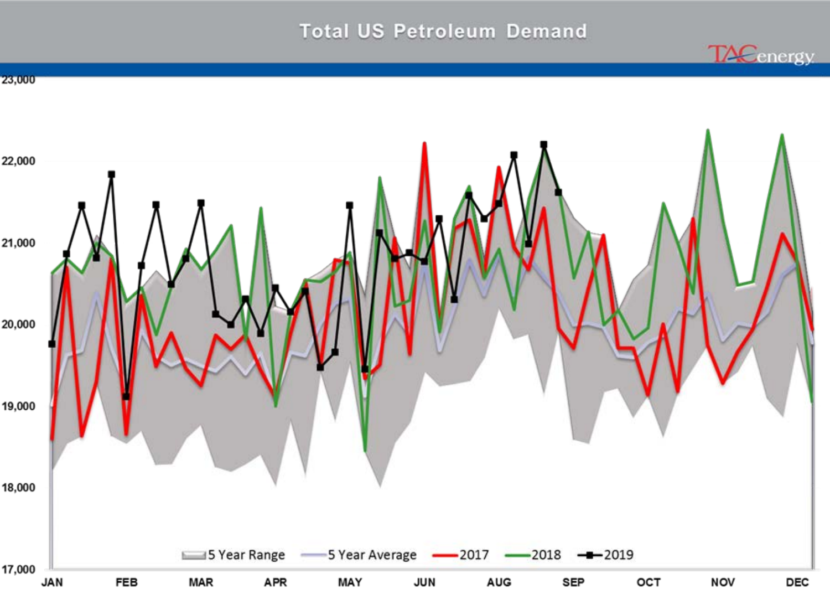## **Total US Petroleum Demand**



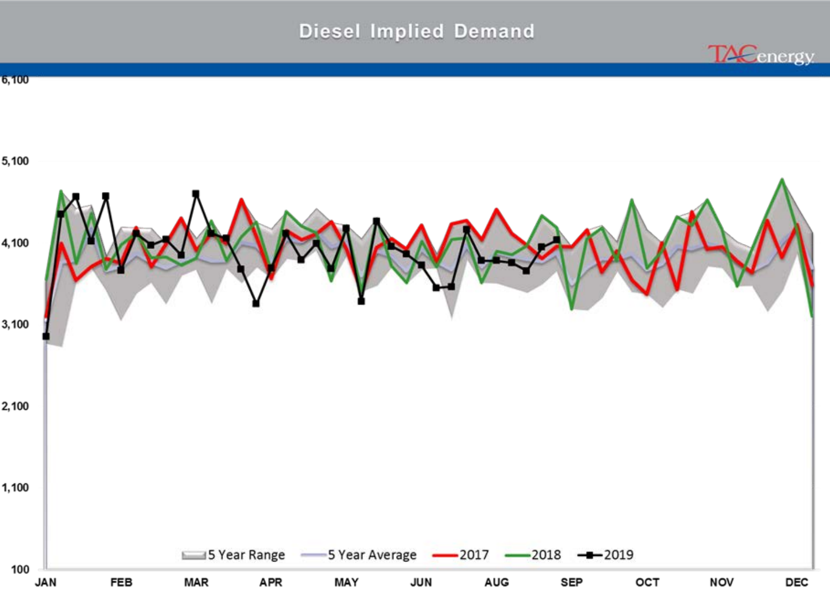### **Diesel Implied Demand**





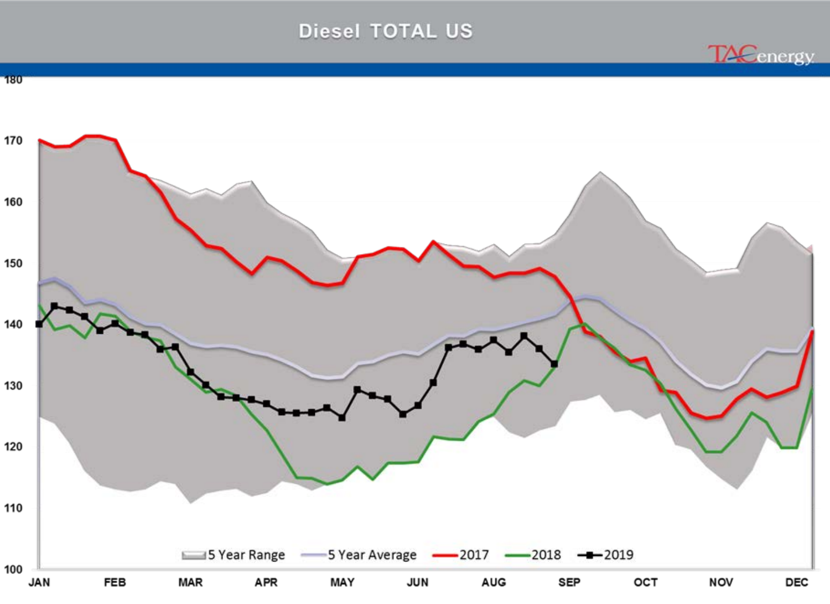## Diesel TOTAL US

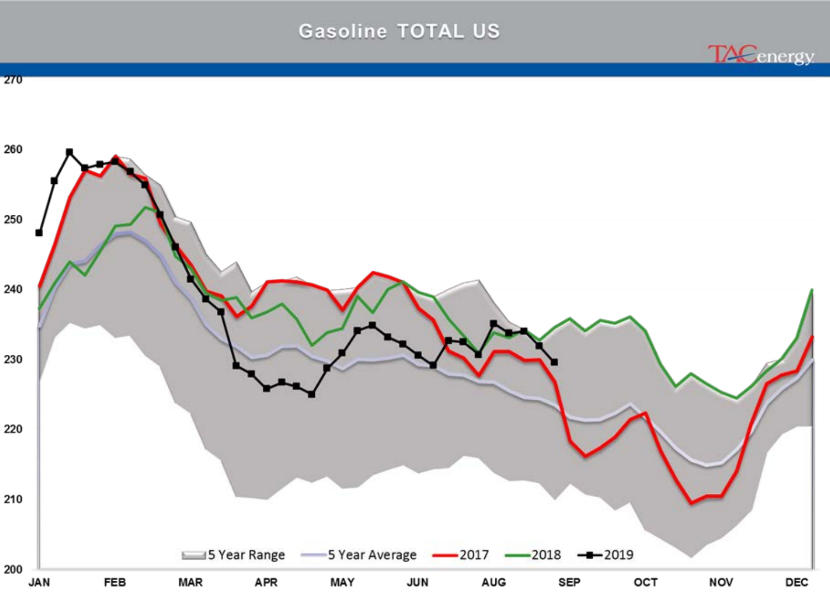### **Gasoline TOTAL US**